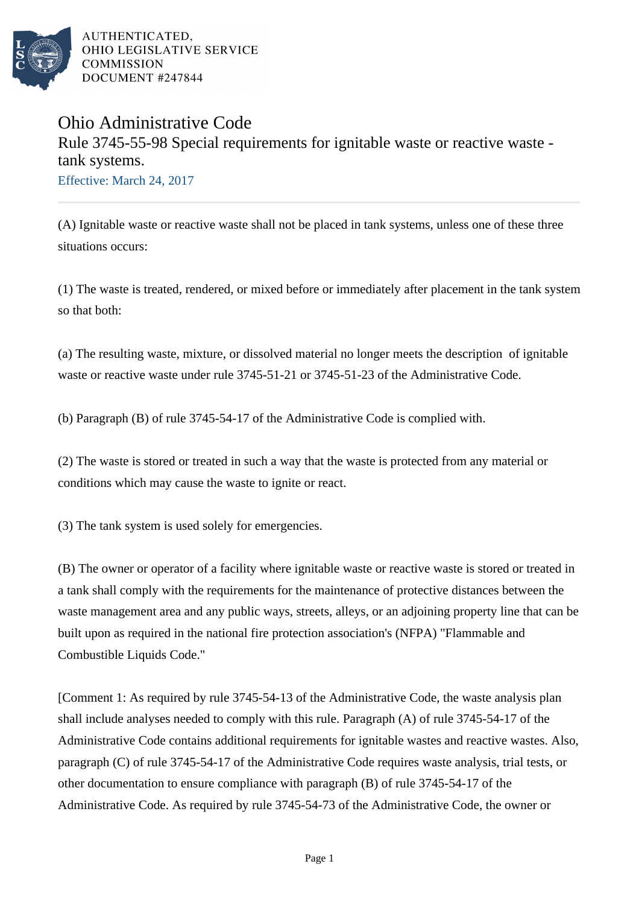

AUTHENTICATED. OHIO LEGISLATIVE SERVICE **COMMISSION** DOCUMENT #247844

## Ohio Administrative Code Rule 3745-55-98 Special requirements for ignitable waste or reactive waste tank systems. Effective: March 24, 2017

(A) Ignitable waste or reactive waste shall not be placed in tank systems, unless one of these three situations occurs:

(1) The waste is treated, rendered, or mixed before or immediately after placement in the tank system so that both:

(a) The resulting waste, mixture, or dissolved material no longer meets the description of ignitable waste or reactive waste under rule 3745-51-21 or 3745-51-23 of the Administrative Code.

(b) Paragraph (B) of rule 3745-54-17 of the Administrative Code is complied with.

(2) The waste is stored or treated in such a way that the waste is protected from any material or conditions which may cause the waste to ignite or react.

(3) The tank system is used solely for emergencies.

(B) The owner or operator of a facility where ignitable waste or reactive waste is stored or treated in a tank shall comply with the requirements for the maintenance of protective distances between the waste management area and any public ways, streets, alleys, or an adjoining property line that can be built upon as required in the national fire protection association's (NFPA) "Flammable and Combustible Liquids Code."

[Comment 1: As required by rule 3745-54-13 of the Administrative Code, the waste analysis plan shall include analyses needed to comply with this rule. Paragraph (A) of rule 3745-54-17 of the Administrative Code contains additional requirements for ignitable wastes and reactive wastes. Also, paragraph (C) of rule 3745-54-17 of the Administrative Code requires waste analysis, trial tests, or other documentation to ensure compliance with paragraph (B) of rule 3745-54-17 of the Administrative Code. As required by rule 3745-54-73 of the Administrative Code, the owner or